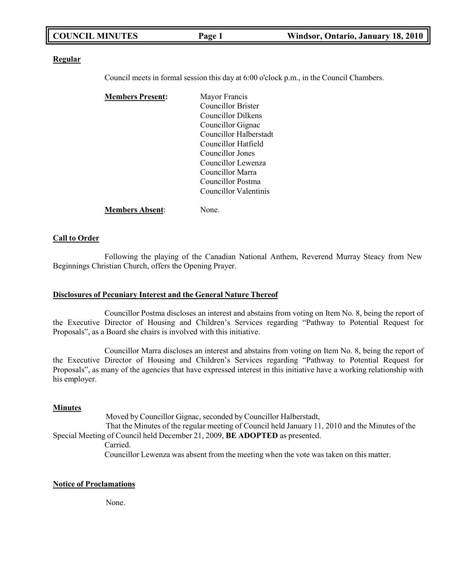| <b>COUNCIL MINUTES</b> | Page 1 | Windsor, Ontario, January 18, 2010 |
|------------------------|--------|------------------------------------|
|                        |        |                                    |

#### **Regular**

Council meets in formal session this day at 6:00 o'clock p.m., in the Council Chambers.

| <b>Members Present:</b> | Mayor Francis             |
|-------------------------|---------------------------|
|                         | <b>Councillor Brister</b> |
|                         | Councillor Dilkens        |
|                         | Councillor Gignac         |
|                         | Councillor Halberstadt    |
|                         | Councillor Hatfield       |
|                         | Councillor Jones          |
|                         | Councillor Lewenza        |
|                         | Councillor Marra          |
|                         | Councillor Postma         |
|                         | Councillor Valentinis     |
|                         |                           |

# **Members Absent**: None.

# **Call to Order**

Following the playing of the Canadian National Anthem, Reverend Murray Steacy from New Beginnings Christian Church, offers the Opening Prayer.

### **Disclosures of Pecuniary Interest and the General Nature Thereof**

Councillor Postma discloses an interest and abstains from voting on Item No. 8, being the report of the Executive Director of Housing and Children's Services regarding "Pathway to Potential Request for Proposals", as a Board she chairs is involved with this initiative.

Councillor Marra discloses an interest and abstains from voting on Item No. 8, being the report of the Executive Director of Housing and Children's Services regarding "Pathway to Potential Request for Proposals", as many of the agencies that have expressed interest in this initiative have a working relationship with his employer.

### **Minutes**

Moved by Councillor Gignac, seconded by Councillor Halberstadt, That the Minutes of the regular meeting of Council held January 11, 2010 and the Minutes of the Special Meeting of Council held December 21, 2009, **BE ADOPTED** as presented. Carried. Councillor Lewenza was absent from the meeting when the vote was taken on this matter.

### **Notice of Proclamations**

None.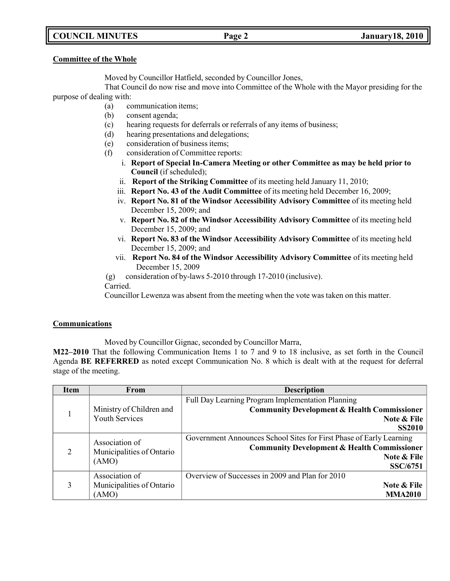# **COUNCIL MINUTES Page 2 January18, 2010**

### **Committee of the Whole**

Moved by Councillor Hatfield, seconded by Councillor Jones,

That Council do now rise and move into Committee of the Whole with the Mayor presiding for the purpose of dealing with:

- (a) communication items;
- (b) consent agenda;
- (c) hearing requests for deferrals or referrals of any items of business;
- (d) hearing presentations and delegations;
- (e) consideration of business items;
- (f) consideration of Committee reports:
	- i. **Report of Special In-Camera Meeting or other Committee as may be held prior to Council** (if scheduled);
	- ii. **Report of the Striking Committee** of its meeting held January 11, 2010;
	- iii. **Report No. 43 of the Audit Committee** of its meeting held December 16, 2009;
	- iv. **Report No. 81 of the Windsor Accessibility Advisory Committee** of its meeting held December 15, 2009; and
	- v. **Report No. 82 of the Windsor Accessibility Advisory Committee** of its meeting held December 15, 2009; and
	- vi. **Report No. 83 of the Windsor Accessibility Advisory Committee** of its meeting held December 15, 2009; and
	- vii. **Report No. 84 of the Windsor Accessibility Advisory Committee** of its meeting held December 15, 2009

(g) consideration of by-laws 5-2010 through 17-2010 (inclusive).

Carried.

Councillor Lewenza was absent from the meeting when the vote was taken on this matter.

# **Communications**

Moved by Councillor Gignac, seconded by Councillor Marra,

**M22–2010** That the following Communication Items 1 to 7 and 9 to 18 inclusive, as set forth in the Council Agenda **BE REFERRED** as noted except Communication No. 8 which is dealt with at the request for deferral stage of the meeting.

| <b>Item</b>    | From                                                 | <b>Description</b>                                                                                                                                              |
|----------------|------------------------------------------------------|-----------------------------------------------------------------------------------------------------------------------------------------------------------------|
|                | Ministry of Children and<br><b>Youth Services</b>    | Full Day Learning Program Implementation Planning<br><b>Community Development &amp; Health Commissioner</b><br>Note & File<br><b>SS2010</b>                     |
| $\overline{2}$ | Association of<br>Municipalities of Ontario<br>(AMO) | Government Announces School Sites for First Phase of Early Learning<br><b>Community Development &amp; Health Commissioner</b><br>Note & File<br><b>SSC/6751</b> |
| 3              | Association of<br>Municipalities of Ontario<br>(AMO) | Overview of Successes in 2009 and Plan for 2010<br>Note & File<br><b>MMA2010</b>                                                                                |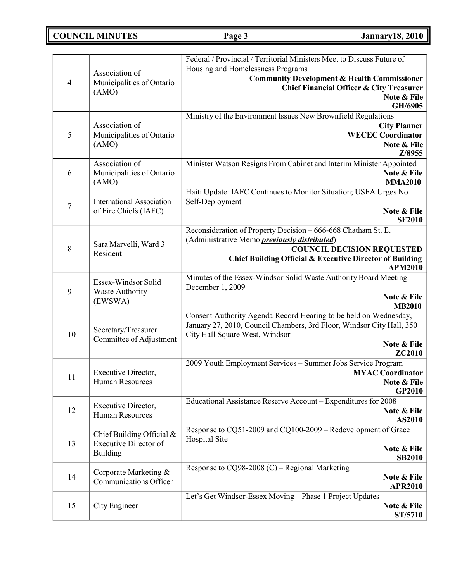**COUNCIL MINUTES Page 3 January18, 2010**

| $\overline{4}$   | Association of<br>Municipalities of Ontario<br>(AMO)                         | Federal / Provincial / Territorial Ministers Meet to Discuss Future of<br>Housing and Homelessness Programs<br><b>Community Development &amp; Health Commissioner</b><br><b>Chief Financial Officer &amp; City Treasurer</b><br>Note & File<br>GH/6905 |
|------------------|------------------------------------------------------------------------------|--------------------------------------------------------------------------------------------------------------------------------------------------------------------------------------------------------------------------------------------------------|
| $\mathfrak{S}$   | Association of<br>Municipalities of Ontario<br>(AMO)                         | Ministry of the Environment Issues New Brownfield Regulations<br><b>City Planner</b><br><b>WECEC Coordinator</b><br>Note & File<br>Z/8955                                                                                                              |
| 6                | Association of<br>Municipalities of Ontario<br>(AMO)                         | Minister Watson Resigns From Cabinet and Interim Minister Appointed<br>Note & File<br><b>MMA2010</b>                                                                                                                                                   |
| $\boldsymbol{7}$ | <b>International Association</b><br>of Fire Chiefs (IAFC)                    | Haiti Update: IAFC Continues to Monitor Situation; USFA Urges No<br>Self-Deployment<br>Note & File<br><b>SF2010</b>                                                                                                                                    |
| 8                | Sara Marvelli, Ward 3<br>Resident                                            | Reconsideration of Property Decision - 666-668 Chatham St. E.<br>(Administrative Memo <i>previously distributed</i> )<br><b>COUNCIL DECISION REQUESTED</b><br>Chief Building Official & Executive Director of Building<br><b>APM2010</b>               |
| 9                | Essex-Windsor Solid<br><b>Waste Authority</b><br>(EWSWA)                     | Minutes of the Essex-Windsor Solid Waste Authority Board Meeting -<br>December 1, 2009<br>Note & File<br><b>MB2010</b>                                                                                                                                 |
| 10               | Secretary/Treasurer<br>Committee of Adjustment                               | Consent Authority Agenda Record Hearing to be held on Wednesday,<br>January 27, 2010, Council Chambers, 3rd Floor, Windsor City Hall, 350<br>City Hall Square West, Windsor<br>Note & File<br>ZC2010                                                   |
| 11               | Executive Director,<br>Human Resources                                       | 2009 Youth Employment Services - Summer Jobs Service Program<br><b>MYAC Coordinator</b><br>Note & File<br>GP2010                                                                                                                                       |
| 12               | Executive Director,<br><b>Human Resources</b>                                | Educational Assistance Reserve Account - Expenditures for 2008<br>Note & File<br>AS2010                                                                                                                                                                |
| 13               | Chief Building Official &<br><b>Executive Director of</b><br><b>Building</b> | Response to CQ51-2009 and CQ100-2009 - Redevelopment of Grace<br>Hospital Site<br>Note & File<br><b>SB2010</b>                                                                                                                                         |
| 14               | Corporate Marketing &<br>Communications Officer                              | Response to $CQ98-2008$ (C) – Regional Marketing<br>Note & File<br><b>APR2010</b>                                                                                                                                                                      |
| 15               | City Engineer                                                                | Let's Get Windsor-Essex Moving - Phase 1 Project Updates<br>Note & File<br><b>ST/5710</b>                                                                                                                                                              |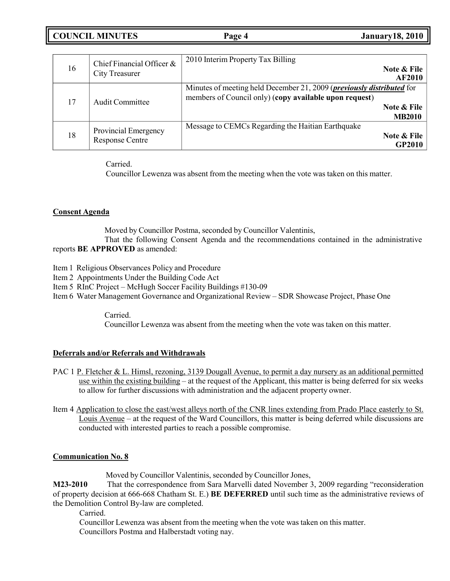| <b>COUNCIL MINUTES</b> | Page 4 | <b>January 18, 2010</b> |
|------------------------|--------|-------------------------|
|------------------------|--------|-------------------------|

| 16 | Chief Financial Officer $\&$<br><b>City Treasurer</b> | 2010 Interim Property Tax Billing<br>Note & File<br><b>AF2010</b>                                                                                                       |
|----|-------------------------------------------------------|-------------------------------------------------------------------------------------------------------------------------------------------------------------------------|
| 17 | Audit Committee                                       | Minutes of meeting held December 21, 2009 ( <i>previously distributed</i> for<br>members of Council only) (copy available upon request)<br>Note & File<br><b>MB2010</b> |
| 18 | Provincial Emergency<br><b>Response Centre</b>        | Message to CEMCs Regarding the Haitian Earthquake<br>Note & File<br><b>GP2010</b>                                                                                       |

Carried.

Councillor Lewenza was absent from the meeting when the vote was taken on this matter.

# **Consent Agenda**

Moved by Councillor Postma, seconded by Councillor Valentinis,

That the following Consent Agenda and the recommendations contained in the administrative reports **BE APPROVED** as amended:

- Item 1 Religious Observances Policy and Procedure
- Item 2 Appointments Under the Building Code Act
- Item 5 RInC Project McHugh Soccer Facility Buildings #130-09
- Item 6 Water Management Governance and Organizational Review SDR Showcase Project, Phase One

Carried.

Councillor Lewenza was absent from the meeting when the vote was taken on this matter.

# **Deferrals and/or Referrals and Withdrawals**

- PAC 1 P. Fletcher & L. Himsl, rezoning, 3139 Dougall Avenue, to permit a day nursery as an additional permitted use within the existing building – at the request of the Applicant, this matter is being deferred for six weeks to allow for further discussions with administration and the adjacent property owner.
- Item 4 Application to close the east/west alleys north of the CNR lines extending from Prado Place easterly to St. Louis Avenue – at the request of the Ward Councillors, this matter is being deferred while discussions are conducted with interested parties to reach a possible compromise.

# **Communication No. 8**

Moved by Councillor Valentinis, seconded by Councillor Jones,

**M23-2010** That the correspondence from Sara Marvelli dated November 3, 2009 regarding "reconsideration of property decision at 666-668 Chatham St. E.) **BE DEFERRED** until such time as the administrative reviews of the Demolition Control By-law are completed.

Carried.

Councillor Lewenza was absent from the meeting when the vote was taken on this matter. Councillors Postma and Halberstadt voting nay.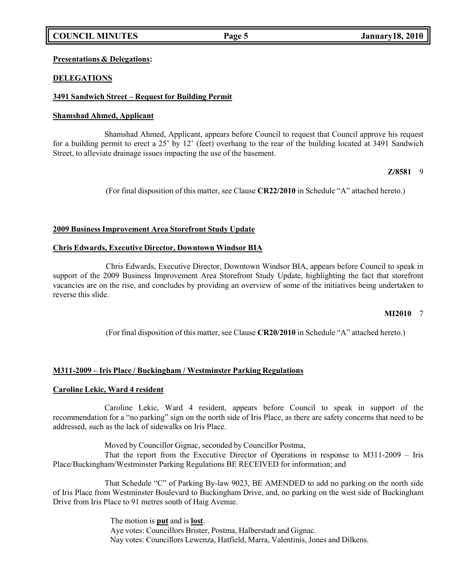# **COUNCIL MINUTES Page 5 January18, 2010**

## **Presentations & Delegations:**

# **DELEGATIONS**

## **3491 Sandwich Street – Request for Building Permit**

### **Shamshad Ahmed, Applicant**

Shamshad Ahmed, Applicant, appears before Council to request that Council approve his request for a building permit to erect a 25' by 12' (feet) overhang to the rear of the building located at 3491 Sandwich Street, to alleviate drainage issues impacting the use of the basement.

### **Z/8581** 9

(For final disposition of this matter, see Clause **CR22/2010** in Schedule "A" attached hereto.)

### **2009 Business Improvement Area Storefront Study Update**

### **Chris Edwards, Executive Director, Downtown Windsor BIA**

Chris Edwards, Executive Director, Downtown Windsor BIA, appears before Council to speak in support of the 2009 Business Improvement Area Storefront Study Update, highlighting the fact that storefront vacancies are on the rise, and concludes by providing an overview of some of the initiatives being undertaken to reverse this slide.

### **MI2010** 7

(For final disposition of this matter, see Clause **CR20/2010** in Schedule "A" attached hereto.)

# **M311-2009 – Iris Place / Buckingham / Westminster Parking Regulations**

### **Caroline Lekic, Ward 4 resident**

Caroline Lekic, Ward 4 resident, appears before Council to speak in support of the recommendation for a "no parking" sign on the north side of Iris Place, as there are safety concerns that need to be addressed, such as the lack of sidewalks on Iris Place.

Moved by Councillor Gignac, seconded by Councillor Postma,

That the report from the Executive Director of Operations in response to M311-2009 – Iris Place/Buckingham/Westminster Parking Regulations BE RECEIVED for information; and

That Schedule "C" of Parking By-law 9023, BE AMENDED to add no parking on the north side of Iris Place from Westminster Boulevard to Buckingham Drive, and, no parking on the west side of Buckingham Drive from Iris Place to 91 metres south of Haig Avenue.

> The motion is **put** and is **lost**. Aye votes: Councillors Brister, Postma, Halberstadt and Gignac. Nay votes: Councillors Lewenza, Hatfield, Marra, Valentinis, Jones and Dilkens.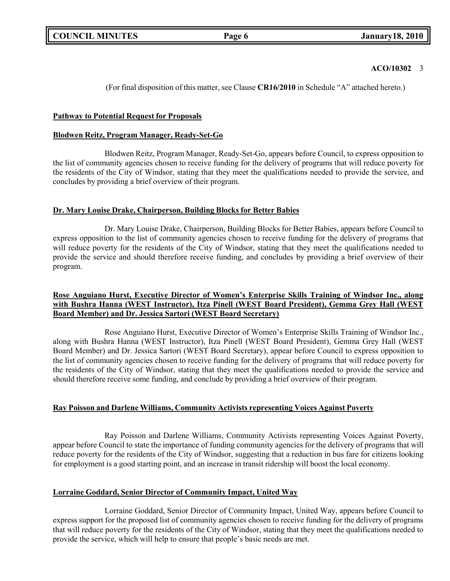# **ACO/10302** 3

(For final disposition of this matter, see Clause **CR16/2010** in Schedule "A" attached hereto.)

# **Pathway to Potential Request for Proposals**

# **Blodwen Reitz, Program Manager, Ready-Set-Go**

Blodwen Reitz, Program Manager, Ready-Set-Go, appears before Council, to express opposition to the list of community agencies chosen to receive funding for the delivery of programs that will reduce poverty for the residents of the City of Windsor, stating that they meet the qualifications needed to provide the service, and concludes by providing a brief overview of their program.

# **Dr. Mary Louise Drake, Chairperson, Building Blocks for Better Babies**

Dr. Mary Louise Drake, Chairperson, Building Blocks for Better Babies, appears before Council to express opposition to the list of community agencies chosen to receive funding for the delivery of programs that will reduce poverty for the residents of the City of Windsor, stating that they meet the qualifications needed to provide the service and should therefore receive funding, and concludes by providing a brief overview of their program.

# **Rose Anguiano Hurst, Executive Director of Women's Enterprise Skills Training of Windsor Inc., along with Bushra Hanna (WEST Instructor), Itza Pinell (WEST Board President), Gemma Grey Hall (WEST Board Member) and Dr. Jessica Sartori (WEST Board Secretary)**

Rose Anguiano Hurst, Executive Director of Women's Enterprise Skills Training of Windsor Inc., along with Bushra Hanna (WEST Instructor), Itza Pinell (WEST Board President), Gemma Grey Hall (WEST Board Member) and Dr. Jessica Sartori (WEST Board Secretary), appear before Council to express opposition to the list of community agencies chosen to receive funding for the delivery of programs that will reduce poverty for the residents of the City of Windsor, stating that they meet the qualifications needed to provide the service and should therefore receive some funding, and conclude by providing a brief overview of their program.

# **Ray Poisson and Darlene Williams, Community Activists representing Voices Against Poverty**

Ray Poisson and Darlene Williams, Community Activists representing Voices Against Poverty, appear before Council to state the importance of funding community agencies for the delivery of programs that will reduce poverty for the residents of the City of Windsor, suggesting that a reduction in bus fare for citizens looking for employment is a good starting point, and an increase in transit ridership will boost the local economy.

# **Lorraine Goddard, Senior Director of Community Impact, United Way**

Lorraine Goddard, Senior Director of Community Impact, United Way, appears before Council to express support for the proposed list of community agencies chosen to receive funding for the delivery of programs that will reduce poverty for the residents of the City of Windsor, stating that they meet the qualifications needed to provide the service, which will help to ensure that people's basic needs are met.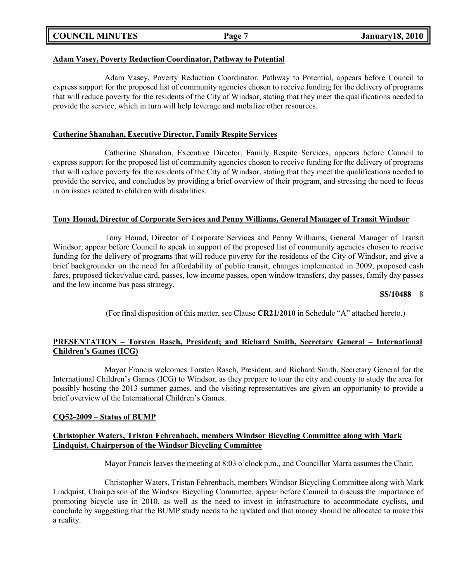|  | <b>COUNCIL MINUTES</b> |
|--|------------------------|
|--|------------------------|

# **Adam Vasey, Poverty Reduction Coordinator, Pathway to Potential**

Adam Vasey, Poverty Reduction Coordinator, Pathway to Potential, appears before Council to express support for the proposed list of community agencies chosen to receive funding for the delivery of programs that will reduce poverty for the residents of the City of Windsor, stating that they meet the qualifications needed to provide the service, which in turn will help leverage and mobilize other resources.

# **Catherine Shanahan, Executive Director, Family Respite Services**

Catherine Shanahan, Executive Director, Family Respite Services, appears before Council to express support for the proposed list of community agencies chosen to receive funding for the delivery of programs that will reduce poverty for the residents of the City of Windsor, stating that they meet the qualifications needed to provide the service, and concludes by providing a brief overview of their program, and stressing the need to focus in on issues related to children with disabilities.

### **Tony Houad, Director of Corporate Services and Penny Williams, General Manager of Transit Windsor**

Tony Houad, Director of Corporate Services and Penny Williams, General Manager of Transit Windsor, appear before Council to speak in support of the proposed list of community agencies chosen to receive funding for the delivery of programs that will reduce poverty for the residents of the City of Windsor, and give a brief backgrounder on the need for affordability of public transit, changes implemented in 2009, proposed cash fares, proposed ticket/value card, passes, low income passes, open window transfers, day passes, family day passes and the low income bus pass strategy.

### **SS/10488** 8

(For final disposition of this matter, see Clause **CR21/2010** in Schedule "A" attached hereto.)

# **PRESENTATION – Torsten Rasch, President; and Richard Smith, Secretary General – International Children's Games (ICG)**

Mayor Francis welcomes Torsten Rasch, President, and Richard Smith, Secretary General for the International Children's Games (ICG) to Windsor, as they prepare to tour the city and county to study the area for possibly hosting the 2013 summer games, and the visiting representatives are given an opportunity to provide a brief overview of the International Children's Games.

### **CQ52-2009 – Status of BUMP**

# **Christopher Waters, Tristan Fehrenbach, members Windsor Bicycling Committee along with Mark Lindquist, Chairperson of the Windsor Bicycling Committee**

Mayor Francis leaves the meeting at 8:03 o'clock p.m., and Councillor Marra assumes the Chair.

Christopher Waters, Tristan Fehrenbach, members Windsor Bicycling Committee along with Mark Lindquist, Chairperson of the Windsor Bicycling Committee, appear before Council to discuss the importance of promoting bicycle use in 2010, as well as the need to invest in infrastructure to accommodate cyclists, and conclude by suggesting that the BUMP study needs to be updated and that money should be allocated to make this a reality.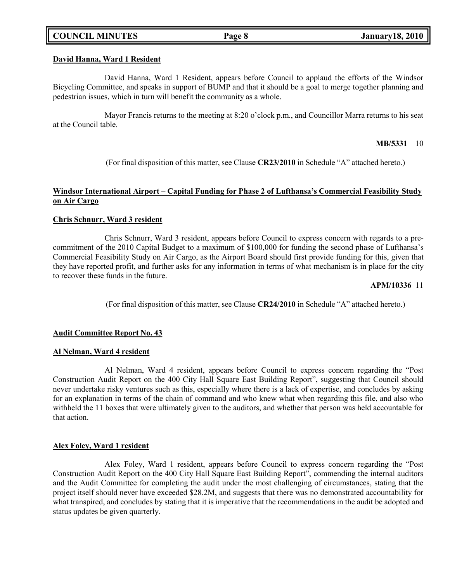# **COUNCIL MINUTES Page 8 January18, 2010**

### **David Hanna, Ward 1 Resident**

David Hanna, Ward 1 Resident, appears before Council to applaud the efforts of the Windsor Bicycling Committee, and speaks in support of BUMP and that it should be a goal to merge together planning and pedestrian issues, which in turn will benefit the community as a whole.

Mayor Francis returns to the meeting at 8:20 o'clock p.m., and Councillor Marra returns to his seat at the Council table.

### **MB/5331** 10

(For final disposition of this matter, see Clause **CR23/2010** in Schedule "A" attached hereto.)

# **Windsor International Airport – Capital Funding for Phase 2 of Lufthansa's Commercial Feasibility Study on Air Cargo**

# **Chris Schnurr, Ward 3 resident**

Chris Schnurr, Ward 3 resident, appears before Council to express concern with regards to a precommitment of the 2010 Capital Budget to a maximum of \$100,000 for funding the second phase of Lufthansa's Commercial Feasibility Study on Air Cargo, as the Airport Board should first provide funding for this, given that they have reported profit, and further asks for any information in terms of what mechanism is in place for the city to recover these funds in the future.

#### **APM/10336** 11

(For final disposition of this matter, see Clause **CR24/2010** in Schedule "A" attached hereto.)

### **Audit Committee Report No. 43**

### **Al Nelman, Ward 4 resident**

Al Nelman, Ward 4 resident, appears before Council to express concern regarding the "Post Construction Audit Report on the 400 City Hall Square East Building Report", suggesting that Council should never undertake risky ventures such as this, especially where there is a lack of expertise, and concludes by asking for an explanation in terms of the chain of command and who knew what when regarding this file, and also who withheld the 11 boxes that were ultimately given to the auditors, and whether that person was held accountable for that action.

### **Alex Foley, Ward 1 resident**

Alex Foley, Ward 1 resident, appears before Council to express concern regarding the "Post Construction Audit Report on the 400 City Hall Square East Building Report", commending the internal auditors and the Audit Committee for completing the audit under the most challenging of circumstances, stating that the project itself should never have exceeded \$28.2M, and suggests that there was no demonstrated accountability for what transpired, and concludes by stating that it is imperative that the recommendations in the audit be adopted and status updates be given quarterly.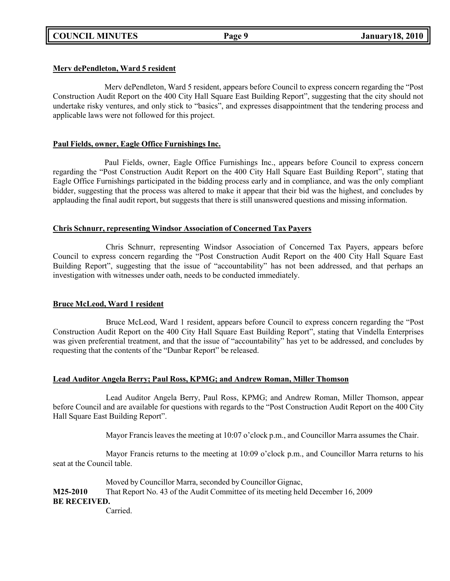# **Merv dePendleton, Ward 5 resident**

Merv dePendleton, Ward 5 resident, appears before Council to express concern regarding the "Post Construction Audit Report on the 400 City Hall Square East Building Report", suggesting that the city should not undertake risky ventures, and only stick to "basics", and expresses disappointment that the tendering process and applicable laws were not followed for this project.

# **Paul Fields, owner, Eagle Office Furnishings Inc.**

Paul Fields, owner, Eagle Office Furnishings Inc., appears before Council to express concern regarding the "Post Construction Audit Report on the 400 City Hall Square East Building Report", stating that Eagle Office Furnishings participated in the bidding process early and in compliance, and was the only compliant bidder, suggesting that the process was altered to make it appear that their bid was the highest, and concludes by applauding the final audit report, but suggests that there is still unanswered questions and missing information.

# **Chris Schnurr, representing Windsor Association of Concerned Tax Payers**

Chris Schnurr, representing Windsor Association of Concerned Tax Payers, appears before Council to express concern regarding the "Post Construction Audit Report on the 400 City Hall Square East Building Report", suggesting that the issue of "accountability" has not been addressed, and that perhaps an investigation with witnesses under oath, needs to be conducted immediately.

# **Bruce McLeod, Ward 1 resident**

Bruce McLeod, Ward 1 resident, appears before Council to express concern regarding the "Post Construction Audit Report on the 400 City Hall Square East Building Report", stating that Vindella Enterprises was given preferential treatment, and that the issue of "accountability" has yet to be addressed, and concludes by requesting that the contents of the "Dunbar Report" be released.

# **Lead Auditor Angela Berry; Paul Ross, KPMG; and Andrew Roman, Miller Thomson**

Lead Auditor Angela Berry, Paul Ross, KPMG; and Andrew Roman, Miller Thomson, appear before Council and are available for questions with regards to the "Post Construction Audit Report on the 400 City Hall Square East Building Report".

Mayor Francis leaves the meeting at 10:07 o'clock p.m., and Councillor Marra assumes the Chair.

Mayor Francis returns to the meeting at 10:09 o'clock p.m., and Councillor Marra returns to his seat at the Council table.

Moved by Councillor Marra, seconded by Councillor Gignac, **M25-2010** That Report No. 43 of the Audit Committee of its meeting held December 16, 2009 **BE RECEIVED.**

Carried.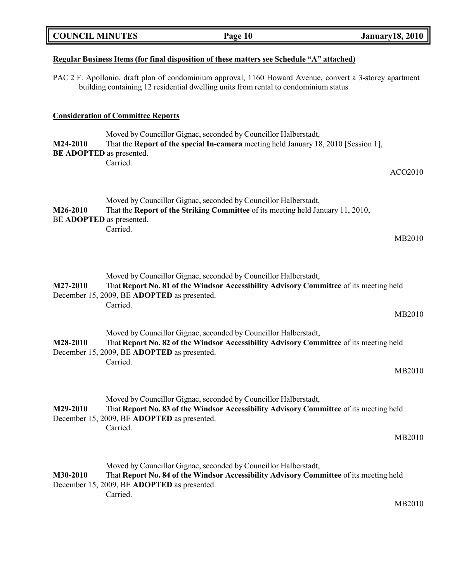| <b>COUNCIL MINUTES</b> |                                                         | Page 10                                                                                                                                                                                         | <b>January 18, 2010</b> |
|------------------------|---------------------------------------------------------|-------------------------------------------------------------------------------------------------------------------------------------------------------------------------------------------------|-------------------------|
|                        |                                                         | <u>Regular Business Items (for final disposition of these matters see Schedule "A" attached)</u>                                                                                                |                         |
|                        |                                                         | PAC 2 F. Apollonio, draft plan of condominium approval, 1160 Howard Avenue, convert a 3-storey apartment<br>building containing 12 residential dwelling units from rental to condominium status |                         |
|                        | <b>Consideration of Committee Reports</b>               |                                                                                                                                                                                                 |                         |
| M24-2010               | <b>BE ADOPTED</b> as presented.<br>Carried.             | Moved by Councillor Gignac, seconded by Councillor Halberstadt,<br>That the <b>Report of the special In-camera</b> meeting held January 18, 2010 [Session 1],                                   |                         |
|                        |                                                         |                                                                                                                                                                                                 | ACO2010                 |
| M26-2010               | BE ADOPTED as presented.                                | Moved by Councillor Gignac, seconded by Councillor Halberstadt,<br>That the Report of the Striking Committee of its meeting held January 11, 2010,                                              |                         |
|                        | Carried.                                                |                                                                                                                                                                                                 | MB2010                  |
| M27-2010               | December 15, 2009, BE ADOPTED as presented.<br>Carried. | Moved by Councillor Gignac, seconded by Councillor Halberstadt,<br>That Report No. 81 of the Windsor Accessibility Advisory Committee of its meeting held                                       |                         |
| M28-2010               | December 15, 2009, BE ADOPTED as presented.             | Moved by Councillor Gignac, seconded by Councillor Halberstadt,<br>That Report No. 82 of the Windsor Accessibility Advisory Committee of its meeting held                                       | MB2010                  |
|                        | Carried.                                                |                                                                                                                                                                                                 | MB2010                  |
| M29-2010               | December 15, 2009, BE ADOPTED as presented.<br>Carried. | Moved by Councillor Gignac, seconded by Councillor Halberstadt,<br>That Report No. 83 of the Windsor Accessibility Advisory Committee of its meeting held                                       | MB2010                  |
| M30-2010               | December 15, 2009, BE ADOPTED as presented.<br>Carried. | Moved by Councillor Gignac, seconded by Councillor Halberstadt,<br>That Report No. 84 of the Windsor Accessibility Advisory Committee of its meeting held                                       |                         |

MB2010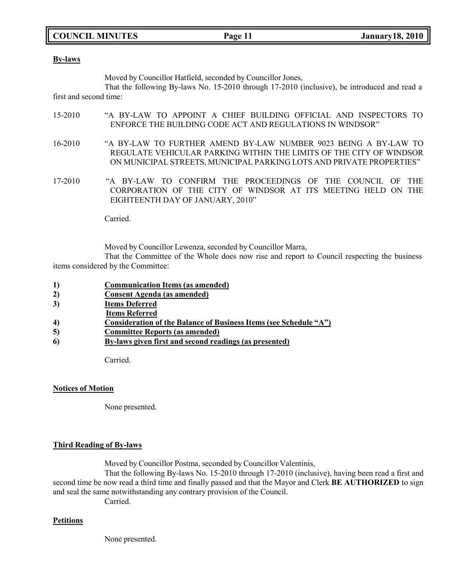# **COUNCIL MINUTES Page 11 January18, 2010**

#### **By-laws**

Moved by Councillor Hatfield, seconded by Councillor Jones,

That the following By-laws No. 15-2010 through 17-2010 (inclusive), be introduced and read a first and second time:

- 15-2010 "A BY-LAW TO APPOINT A CHIEF BUILDING OFFICIAL AND INSPECTORS TO ENFORCE THE BUILDING CODE ACT AND REGULATIONS IN WINDSOR"
- 16-2010 "A BY-LAW TO FURTHER AMEND BY-LAW NUMBER 9023 BEING A BY-LAW TO REGULATE VEHICULAR PARKING WITHIN THE LIMITS OF THE CITY OF WINDSOR ON MUNICIPAL STREETS, MUNICIPAL PARKING LOTS AND PRIVATE PROPERTIES"
- 17-2010 "A BY-LAW TO CONFIRM THE PROCEEDINGS OF THE COUNCIL OF THE CORPORATION OF THE CITY OF WINDSOR AT ITS MEETING HELD ON THE EIGHTEENTH DAY OF JANUARY, 2010"

Carried.

Moved by Councillor Lewenza, seconded by Councillor Marra,

That the Committee of the Whole does now rise and report to Council respecting the business items considered by the Committee:

- **1) Communication Items (as amended)**
- **2) Consent Agenda (as amended)**
- **3) Items Deferred**
- **Items Referred**
- **4) Consideration of the Balance of Business Items (see Schedule "A")**
- **5) Committee Reports (as amended)**
- **6) By-laws given first and second readings (as presented)**

Carried.

### **Notices of Motion**

None presented.

## **Third Reading of By-laws**

Moved by Councillor Postma, seconded by Councillor Valentinis,

That the following By-laws No. 15-2010 through 17-2010 (inclusive), having been read a first and second time be now read a third time and finally passed and that the Mayor and Clerk **BE AUTHORIZED** to sign and seal the same notwithstanding any contrary provision of the Council.

Carried.

# **Petitions**

None presented.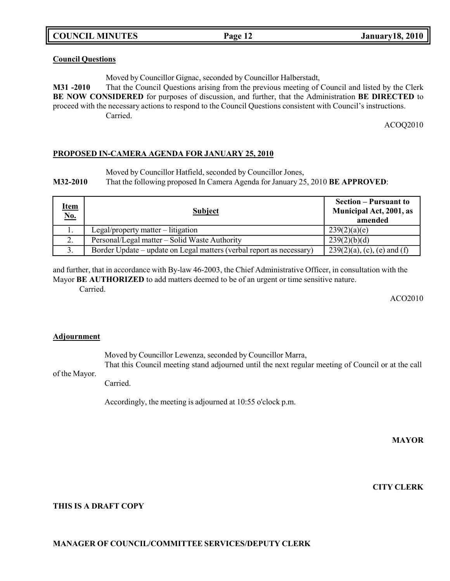**COUNCIL MINUTES Page 12 January18, 2010**

# **Council Questions**

Moved by Councillor Gignac, seconded by Councillor Halberstadt,

**M31 -2010** That the Council Questions arising from the previous meeting of Council and listed by the Clerk **BE NOW CONSIDERED** for purposes of discussion, and further, that the Administration **BE DIRECTED** to proceed with the necessary actions to respond to the Council Questions consistent with Council's instructions. Carried.

ACOQ2010

### **PROPOSED IN-CAMERA AGENDA FOR JANUARY 25, 2010**

Moved by Councillor Hatfield, seconded by Councillor Jones,

**M32-2010** That the following proposed In Camera Agenda for January 25, 2010 **BE APPROVED**:

| <u>Item</u><br>No. | <b>Subject</b>                                                       | <b>Section – Pursuant to</b><br>Municipal Act, 2001, as<br>amended |
|--------------------|----------------------------------------------------------------------|--------------------------------------------------------------------|
| . .                | $Legal/property$ matter – litigation                                 | 239(2)(a)(e)                                                       |
| 2.                 | Personal/Legal matter – Solid Waste Authority                        | 239(2)(b)(d)                                                       |
| 3.                 | Border Update – update on Legal matters (verbal report as necessary) | $239(2)(a)$ , (c), (e) and (f)                                     |

and further, that in accordance with By-law 46-2003, the Chief Administrative Officer, in consultation with the Mayor **BE AUTHORIZED** to add matters deemed to be of an urgent or time sensitive nature.

Carried.

ACO2010

### **Adjournment**

of the Mayor.

Moved by Councillor Lewenza, seconded by Councillor Marra,

That this Council meeting stand adjourned until the next regular meeting of Council or at the call

Carried.

Accordingly, the meeting is adjourned at 10:55 o'clock p.m.

**MAYOR**

**CITY CLERK**

**THIS IS A DRAFT COPY**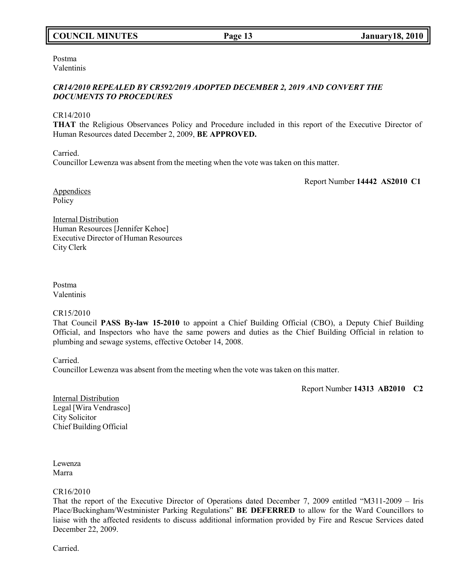# **COUNCIL MINUTES Page 13 January18, 2010**

Postma Valentinis

# *CR14/2010 REPEALED BY CR592/2019 ADOPTED DECEMBER 2, 2019 AND CONVERT THE DOCUMENTS TO PROCEDURES*

CR14/2010

**THAT** the Religious Observances Policy and Procedure included in this report of the Executive Director of Human Resources dated December 2, 2009, **BE APPROVED.**

Carried.

Councillor Lewenza was absent from the meeting when the vote was taken on this matter.

Report Number **14442 AS2010 C1**

Appendices Policy

Internal Distribution Human Resources [Jennifer Kehoe] Executive Director of Human Resources City Clerk

Postma Valentinis

CR15/2010

That Council **PASS By-law 15-2010** to appoint a Chief Building Official (CBO), a Deputy Chief Building Official, and Inspectors who have the same powers and duties as the Chief Building Official in relation to plumbing and sewage systems, effective October 14, 2008.

Carried.

Councillor Lewenza was absent from the meeting when the vote was taken on this matter.

Report Number **14313 AB2010 C2**

Internal Distribution Legal [Wira Vendrasco] City Solicitor Chief Building Official

Lewenza Marra

### CR16/2010

That the report of the Executive Director of Operations dated December 7, 2009 entitled "M311-2009 – Iris Place/Buckingham/Westminister Parking Regulations" **BE DEFERRED** to allow for the Ward Councillors to liaise with the affected residents to discuss additional information provided by Fire and Rescue Services dated December 22, 2009.

Carried.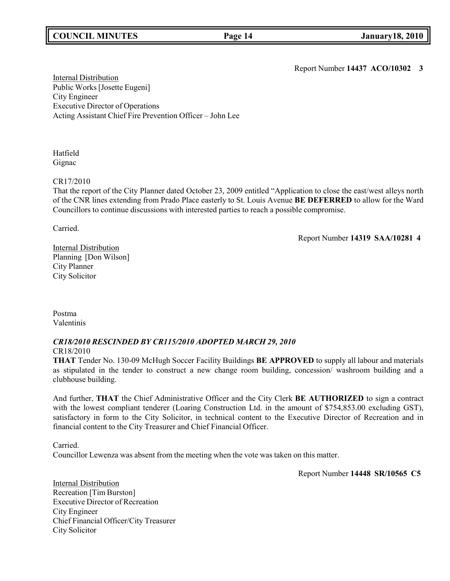# **COUNCIL MINUTES Page 14 January18, 2010**

Report Number **14437 ACO/10302 3**

Internal Distribution Public Works [Josette Eugeni] City Engineer Executive Director of Operations Acting Assistant Chief Fire Prevention Officer – John Lee

Hatfield Gignac

### CR17/2010

That the report of the City Planner dated October 23, 2009 entitled "Application to close the east/west alleys north of the CNR lines extending from Prado Place easterly to St. Louis Avenue **BE DEFERRED** to allow for the Ward Councillors to continue discussions with interested parties to reach a possible compromise.

Carried.

Report Number **14319 SAA/10281 4**

Internal Distribution Planning [Don Wilson] City Planner City Solicitor

Postma Valentinis

### *CR18/2010 RESCINDED BY CR115/2010 ADOPTED MARCH 29, 2010* CR18/2010

**THAT** Tender No. 130-09 McHugh Soccer Facility Buildings **BE APPROVED** to supply all labour and materials as stipulated in the tender to construct a new change room building, concession/ washroom building and a clubhouse building.

And further, **THAT** the Chief Administrative Officer and the City Clerk **BE AUTHORIZED** to sign a contract with the lowest compliant tenderer (Loaring Construction Ltd. in the amount of \$754,853.00 excluding GST), satisfactory in form to the City Solicitor, in technical content to the Executive Director of Recreation and in financial content to the City Treasurer and Chief Financial Officer.

Carried.

Councillor Lewenza was absent from the meeting when the vote was taken on this matter.

Report Number **14448 SR/10565 C5**

Internal Distribution Recreation [Tim Burston] Executive Director of Recreation City Engineer Chief Financial Officer/City Treasurer City Solicitor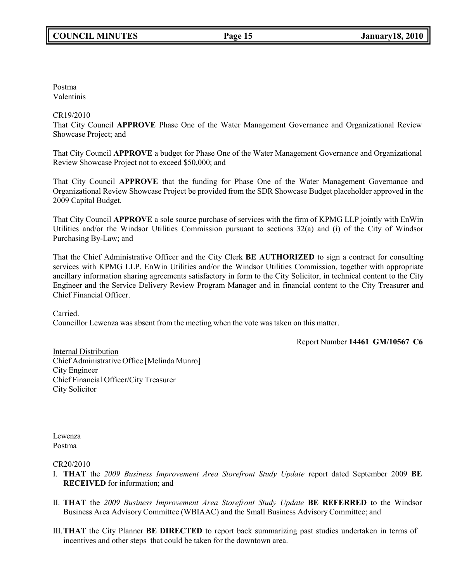Postma Valentinis

# CR19/2010

That City Council **APPROVE** Phase One of the Water Management Governance and Organizational Review Showcase Project; and

That City Council **APPROVE** a budget for Phase One of the Water Management Governance and Organizational Review Showcase Project not to exceed \$50,000; and

That City Council **APPROVE** that the funding for Phase One of the Water Management Governance and Organizational Review Showcase Project be provided from the SDR Showcase Budget placeholder approved in the 2009 Capital Budget.

That City Council **APPROVE** a sole source purchase of services with the firm of KPMG LLP jointly with EnWin Utilities and/or the Windsor Utilities Commission pursuant to sections 32(a) and (i) of the City of Windsor Purchasing By-Law; and

That the Chief Administrative Officer and the City Clerk **BE AUTHORIZED** to sign a contract for consulting services with KPMG LLP, EnWin Utilities and/or the Windsor Utilities Commission, together with appropriate ancillary information sharing agreements satisfactory in form to the City Solicitor, in technical content to the City Engineer and the Service Delivery Review Program Manager and in financial content to the City Treasurer and Chief Financial Officer.

Carried.

Councillor Lewenza was absent from the meeting when the vote was taken on this matter.

Report Number **14461 GM/10567 C6**

Internal Distribution Chief Administrative Office [Melinda Munro] City Engineer Chief Financial Officer/City Treasurer City Solicitor

Lewenza Postma

# CR20/2010

- I. **THAT** the *2009 Business Improvement Area Storefront Study Update* report dated September 2009 **BE RECEIVED** for information; and
- II. **THAT** the *2009 Business Improvement Area Storefront Study Update* **BE REFERRED** to the Windsor Business Area Advisory Committee (WBIAAC) and the Small Business Advisory Committee; and
- III.**THAT** the City Planner **BE DIRECTED** to report back summarizing past studies undertaken in terms of incentives and other steps that could be taken for the downtown area.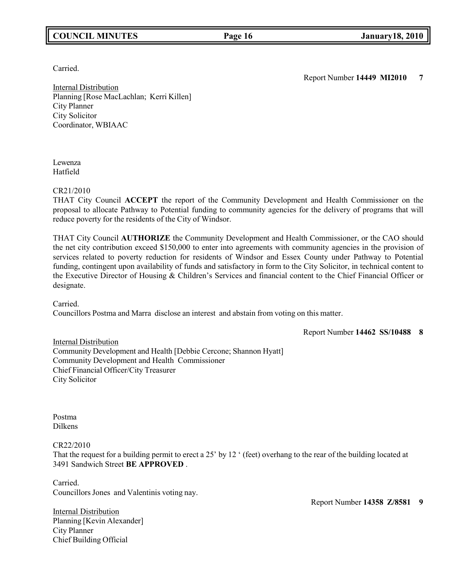# **COUNCIL MINUTES Page 16 January18, 2010**

Carried.

Report Number **14449 MI2010 7**

Internal Distribution Planning [Rose MacLachlan; Kerri Killen] City Planner City Solicitor Coordinator, WBIAAC

Lewenza Hatfield

# CR21/2010

THAT City Council **ACCEPT** the report of the Community Development and Health Commissioner on the proposal to allocate Pathway to Potential funding to community agencies for the delivery of programs that will reduce poverty for the residents of the City of Windsor.

THAT City Council **AUTHORIZE** the Community Development and Health Commissioner, or the CAO should the net city contribution exceed \$150,000 to enter into agreements with community agencies in the provision of services related to poverty reduction for residents of Windsor and Essex County under Pathway to Potential funding, contingent upon availability of funds and satisfactory in form to the City Solicitor, in technical content to the Executive Director of Housing & Children's Services and financial content to the Chief Financial Officer or designate.

Carried.

Councillors Postma and Marra disclose an interest and abstain from voting on this matter.

Report Number **14462 SS/10488 8**

Internal Distribution Community Development and Health [Debbie Cercone; Shannon Hyatt] Community Development and Health Commissioner Chief Financial Officer/City Treasurer City Solicitor

Postma Dilkens

### CR22/2010

That the request for a building permit to erect a 25' by 12 ' (feet) overhang to the rear of the building located at 3491 Sandwich Street **BE APPROVED** .

Carried. Councillors Jones and Valentinis voting nay.

Report Number **14358 Z/8581 9**

Internal Distribution Planning [Kevin Alexander] City Planner Chief Building Official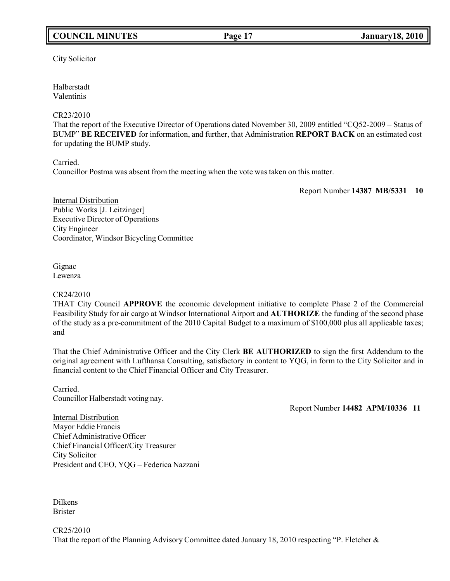# **COUNCIL MINUTES Page 17 January18, 2010**

City Solicitor

Halberstadt Valentinis

# CR23/2010

That the report of the Executive Director of Operations dated November 30, 2009 entitled "CQ52-2009 – Status of BUMP" **BE RECEIVED** for information, and further, that Administration **REPORT BACK** on an estimated cost for updating the BUMP study.

Carried.

Councillor Postma was absent from the meeting when the vote was taken on this matter.

Report Number **14387 MB/5331 10**

Internal Distribution Public Works [J. Leitzinger] Executive Director of Operations City Engineer Coordinator, Windsor Bicycling Committee

Gignac Lewenza

## CR24/2010

THAT City Council **APPROVE** the economic development initiative to complete Phase 2 of the Commercial Feasibility Study for air cargo at Windsor International Airport and **AUTHORIZE** the funding of the second phase of the study as a pre-commitment of the 2010 Capital Budget to a maximum of \$100,000 plus all applicable taxes; and

That the Chief Administrative Officer and the City Clerk **BE AUTHORIZED** to sign the first Addendum to the original agreement with Lufthansa Consulting, satisfactory in content to YQG, in form to the City Solicitor and in financial content to the Chief Financial Officer and City Treasurer.

Carried. Councillor Halberstadt voting nay.

Report Number **14482 APM/10336 11**

Internal Distribution Mayor Eddie Francis Chief Administrative Officer Chief Financial Officer/City Treasurer City Solicitor President and CEO, YQG – Federica Nazzani

Dilkens Brister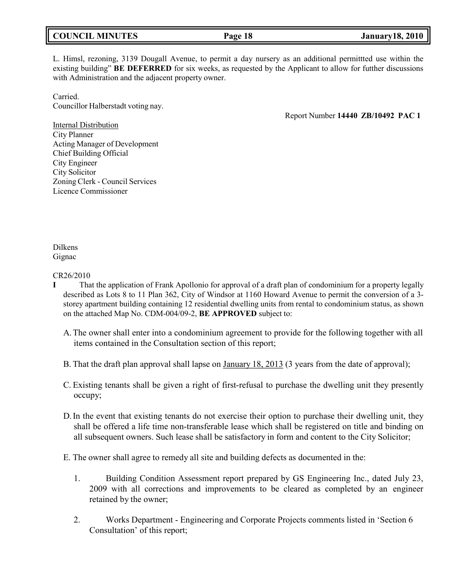L. Himsl, rezoning, 3139 Dougall Avenue, to permit a day nursery as an additional permittted use within the existing building" **BE DEFERRED** for six weeks, as requested by the Applicant to allow for futther discussions with Administration and the adjacent property owner.

Carried. Councillor Halberstadt voting nay.

Report Number **14440 ZB/10492 PAC 1**

Internal Distribution City Planner Acting Manager of Development Chief Building Official City Engineer City Solicitor Zoning Clerk - Council Services Licence Commissioner

Dilkens Gignac

### CR26/2010

- **I** That the application of Frank Apollonio for approval of a draft plan of condominium for a property legally described as Lots 8 to 11 Plan 362, City of Windsor at 1160 Howard Avenue to permit the conversion of a 3 storey apartment building containing 12 residential dwelling units from rental to condominium status, as shown on the attached Map No. CDM-004/09-2, **BE APPROVED** subject to:
	- A.The owner shall enter into a condominium agreement to provide for the following together with all items contained in the Consultation section of this report;
	- B. That the draft plan approval shall lapse on <u>January 18, 2013</u> (3 years from the date of approval);
	- C. Existing tenants shall be given a right of first-refusal to purchase the dwelling unit they presently occupy;
	- D.In the event that existing tenants do not exercise their option to purchase their dwelling unit, they shall be offered a life time non-transferable lease which shall be registered on title and binding on all subsequent owners. Such lease shall be satisfactory in form and content to the City Solicitor;
	- E. The owner shall agree to remedy all site and building defects as documented in the:
		- 1. Building Condition Assessment report prepared by GS Engineering Inc., dated July 23, 2009 with all corrections and improvements to be cleared as completed by an engineer retained by the owner;
		- 2. Works Department Engineering and Corporate Projects comments listed in 'Section 6 Consultation' of this report;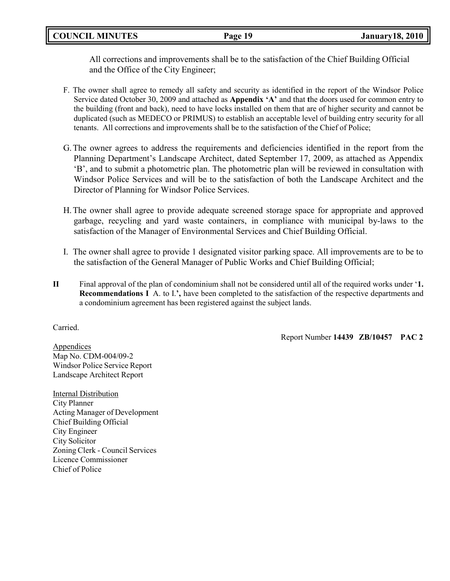**COUNCIL MINUTES Page 19 January18, 2010**

All corrections and improvements shall be to the satisfaction of the Chief Building Official and the Office of the City Engineer;

- F. The owner shall agree to remedy all safety and security as identified in the report of the Windsor Police Service dated October 30, 2009 and attached as **Appendix 'A'** and that **t**he doors used for common entry to the building (front and back), need to have locks installed on them that are of higher security and cannot be duplicated (such as MEDECO or PRIMUS) to establish an acceptable level of building entry security for all tenants. All corrections and improvements shall be to the satisfaction of the Chief of Police;
- G.The owner agrees to address the requirements and deficiencies identified in the report from the Planning Department's Landscape Architect, dated September 17, 2009, as attached as Appendix 'B', and to submit a photometric plan. The photometric plan will be reviewed in consultation with Windsor Police Services and will be to the satisfaction of both the Landscape Architect and the Director of Planning for Windsor Police Services.
- H.The owner shall agree to provide adequate screened storage space for appropriate and approved garbage, recycling and yard waste containers, in compliance with municipal by-laws to the satisfaction of the Manager of Environmental Services and Chief Building Official.
- I. The owner shall agree to provide 1 designated visitor parking space. All improvements are to be to the satisfaction of the General Manager of Public Works and Chief Building Official;
- **II** Final approval of the plan of condominium shall not be considered until all of the required works under '**1. Recommendations I** A. to I.**',** have been completed to the satisfaction of the respective departments and a condominium agreement has been registered against the subject lands.

Carried.

Report Number **14439 ZB/10457 PAC 2**

Appendices Map No. CDM-004/09-2 Windsor Police Service Report Landscape Architect Report

Internal Distribution City Planner Acting Manager of Development Chief Building Official City Engineer City Solicitor Zoning Clerk - Council Services Licence Commissioner Chief of Police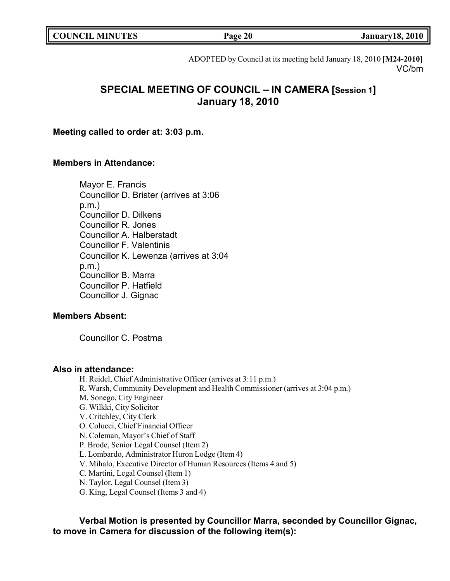| <b>COUNCIL MINUTES</b><br>Page 20 | <b>January18, 2010</b> |
|-----------------------------------|------------------------|
|-----------------------------------|------------------------|

ADOPTED by Council at its meeting held January 18, 2010 [**M24-2010**] VC/bm

# **SPECIAL MEETING OF COUNCIL – IN CAMERA [Session 1] January 18, 2010**

**Meeting called to order at: 3:03 p.m.**

# **Members in Attendance:**

Mayor E. Francis Councillor D. Brister (arrives at 3:06 p.m.) Councillor D. Dilkens Councillor R. Jones Councillor A. Halberstadt Councillor F. Valentinis Councillor K. Lewenza (arrives at 3:04 p.m.) Councillor B. Marra Councillor P. Hatfield Councillor J. Gignac

# **Members Absent:**

Councillor C. Postma

# **Also in attendance:**

H. Reidel, Chief Administrative Officer (arrives at 3:11 p.m.) R. Warsh, Community Development and Health Commissioner (arrives at 3:04 p.m.) M. Sonego, City Engineer G. Wilkki, City Solicitor V. Critchley, City Clerk O. Colucci, Chief Financial Officer N. Coleman, Mayor's Chief of Staff P. Brode, Senior Legal Counsel (Item 2) L. Lombardo, Administrator Huron Lodge (Item 4) V. Mihalo, Executive Director of Human Resources (Items 4 and 5) C. Martini, Legal Counsel (Item 1) N. Taylor, Legal Counsel (Item 3)

G. King, Legal Counsel (Items 3 and 4)

**Verbal Motion is presented by Councillor Marra, seconded by Councillor Gignac, to move in Camera for discussion of the following item(s):**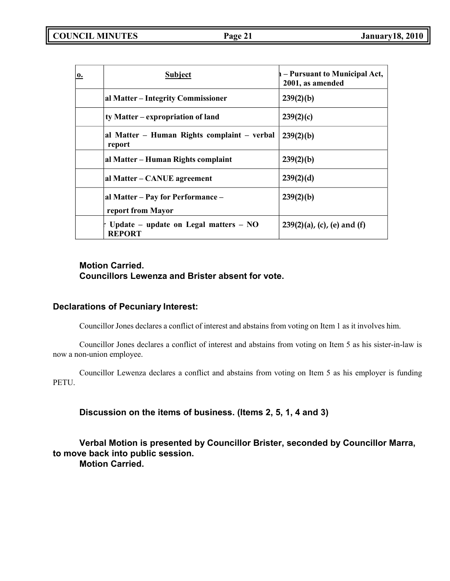| $\bf{0.}$ | <b>Subject</b>                                           | h – Pursuant to Municipal Act,<br>2001, as amended |
|-----------|----------------------------------------------------------|----------------------------------------------------|
|           | al Matter – Integrity Commissioner                       | 239(2)(b)                                          |
|           | ty Matter – expropriation of land                        | 239(2)(c)                                          |
|           | al Matter – Human Rights complaint – verbal<br>report    | 239(2)(b)                                          |
|           | al Matter – Human Rights complaint                       | 239(2)(b)                                          |
|           | al Matter – CANUE agreement                              | 239(2)(d)                                          |
|           | al Matter - Pay for Performance -<br>report from Mayor   | 239(2)(b)                                          |
|           | Update – update on Legal matters – $NO$<br><b>REPORT</b> | $239(2)(a)$ , (c), (e) and (f)                     |

# **Motion Carried. Councillors Lewenza and Brister absent for vote.**

# **Declarations of Pecuniary Interest:**

Councillor Jones declares a conflict of interest and abstains from voting on Item 1 as it involves him.

Councillor Jones declares a conflict of interest and abstains from voting on Item 5 as his sister-in-law is now a non-union employee.

Councillor Lewenza declares a conflict and abstains from voting on Item 5 as his employer is funding PETU.

**Discussion on the items of business. (Items 2, 5, 1, 4 and 3)**

**Verbal Motion is presented by Councillor Brister, seconded by Councillor Marra, to move back into public session. Motion Carried.**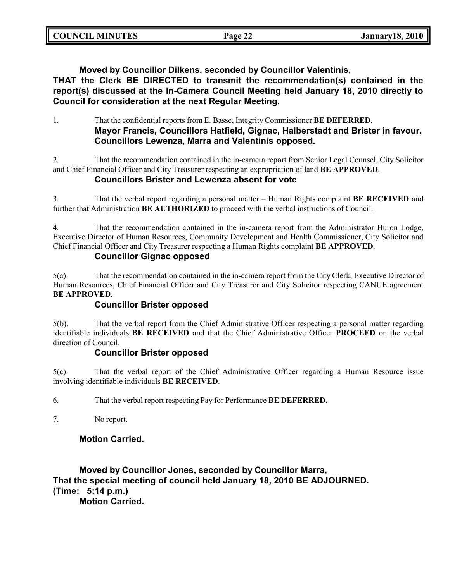| <b>COUNCIL MINUTES</b> | Page 22 | <b>January 18, 2010</b> |
|------------------------|---------|-------------------------|
|                        |         |                         |

**Moved by Councillor Dilkens, seconded by Councillor Valentinis,**

**THAT the Clerk BE DIRECTED to transmit the recommendation(s) contained in the report(s) discussed at the In-Camera Council Meeting held January 18, 2010 directly to Council for consideration at the next Regular Meeting.**

1. That the confidential reports from E. Basse, Integrity Commissioner **BE DEFERRED**. **Mayor Francis, Councillors Hatfield, Gignac, Halberstadt and Brister in favour. Councillors Lewenza, Marra and Valentinis opposed.**

2. That the recommendation contained in the in-camera report from Senior Legal Counsel, City Solicitor and Chief Financial Officer and City Treasurer respecting an expropriation of land **BE APPROVED**.

# **Councillors Brister and Lewenza absent for vote**

3. That the verbal report regarding a personal matter – Human Rights complaint **BE RECEIVED** and further that Administration **BE AUTHORIZED** to proceed with the verbal instructions of Council.

4. That the recommendation contained in the in-camera report from the Administrator Huron Lodge, Executive Director of Human Resources, Community Development and Health Commissioner, City Solicitor and Chief Financial Officer and City Treasurer respecting a Human Rights complaint **BE APPROVED**.

# **Councillor Gignac opposed**

5(a). That the recommendation contained in the in-camera report from the City Clerk, Executive Director of Human Resources, Chief Financial Officer and City Treasurer and City Solicitor respecting CANUE agreement **BE APPROVED**.

# **Councillor Brister opposed**

5(b). That the verbal report from the Chief Administrative Officer respecting a personal matter regarding identifiable individuals **BE RECEIVED** and that the Chief Administrative Officer **PROCEED** on the verbal direction of Council.

# **Councillor Brister opposed**

5(c). That the verbal report of the Chief Administrative Officer regarding a Human Resource issue involving identifiable individuals **BE RECEIVED**.

6. That the verbal report respecting Pay for Performance **BE DEFERRED.**

7. No report.

# **Motion Carried.**

**Moved by Councillor Jones, seconded by Councillor Marra, That the special meeting of council held January 18, 2010 BE ADJOURNED. (Time: 5:14 p.m.) Motion Carried.**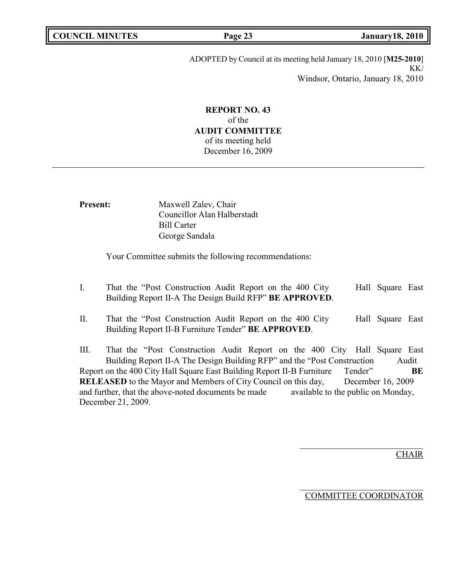| <b>COUNCIL MINUTES</b> |  |
|------------------------|--|
|------------------------|--|

**COUNCIL MINUTES Page 23 January18, 2010**

ADOPTED by Council at its meeting held January 18, 2010 [**M25-2010**] KK/ Windsor, Ontario, January 18, 2010

# **REPORT NO. 43** of the **AUDIT COMMITTEE** of its meeting held December 16, 2009

| <b>Present:</b> | Maxwell Zalev, Chair        |
|-----------------|-----------------------------|
|                 | Councillor Alan Halberstadt |
|                 | <b>Bill Carter</b>          |
|                 | George Sandala              |
|                 |                             |

Your Committee submits the following recommendations:

- I. That the "Post Construction Audit Report on the 400 City Building Report II-A The Design Build RFP" **BE APPROVED**. Hall Square East
- II. That the "Post Construction Audit Report on the 400 City Building Report II-B Furniture Tender" **BE APPROVED**. Hall Square East

III. That the "Post Construction Audit Report on the 400 City Hall Square East Building Report II-A The Design Building RFP" and the "Post Construction Audit Report on the 400 City Hall Square East Building Report II-B Furniture Tender" **BE RELEASED** to the Mayor and Members of City Council on this day, December 16, 2009 and further, that the above-noted documents be made available to the public on Monday, December 21, 2009.

**CHAIR** 

COMMITTEE COORDINATOR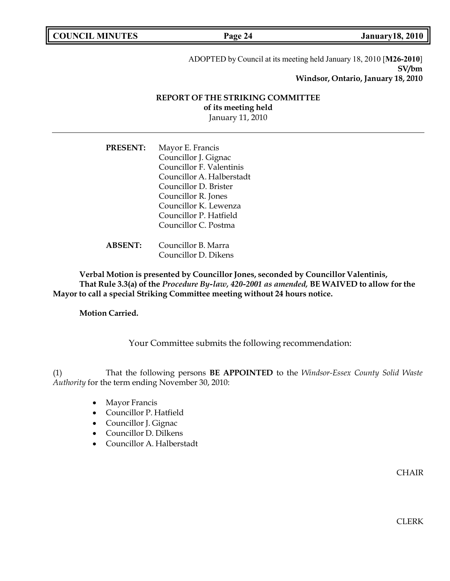|  | <b>COUNCIL MINUTES</b> |
|--|------------------------|
|--|------------------------|

**COUNCIL EXECUTE: COUNCIL COUNCIL COUNCIL COUNCIL COUNCIL COUNCIL COUNCIL COUNCIL COUNCIL COUNCIL COUNCIL** 

ADOPTED by Council at its meeting held January 18, 2010 [**M26-2010**] **SV/bm Windsor, Ontario, January 18, 2010**

# **REPORT OF THE STRIKING COMMITTEE of its meeting held**

January 11, 2010

**PRESENT:** Mayor E. Francis Councillor J. Gignac Councillor F. Valentinis Councillor A. Halberstadt Councillor D. Brister Councillor R. Jones Councillor K. Lewenza Councillor P. Hatfield Councillor C. Postma

**ABSENT:** Councillor B. Marra Councillor D. Dikens

**Verbal Motion is presented by Councillor Jones, seconded by Councillor Valentinis, That Rule 3.3(a) of the** *Procedure By-law, 420-2001 as amended,* **BE WAIVED to allow for the Mayor to call a special Striking Committee meeting without 24 hours notice.**

**Motion Carried.**

Your Committee submits the following recommendation:

(1) That the following persons **BE APPOINTED** to the *Windsor-Essex County Solid Waste Authority* for the term ending November 30, 2010:

- Mayor Francis
- Councillor P. Hatfield
- Councillor J. Gignac
- Councillor D. Dilkens
- Councillor A. Halberstadt

CHAIR

**CLERK**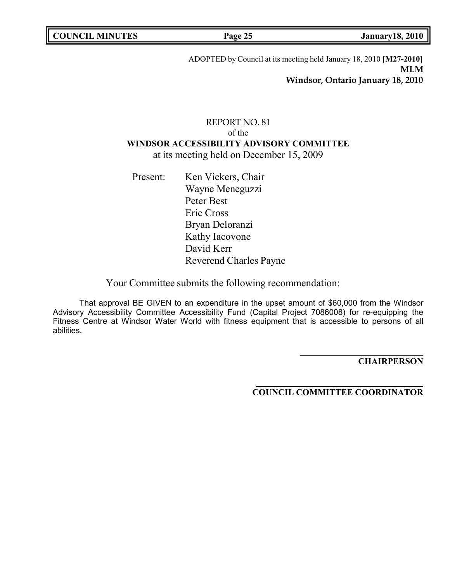|  | <b>COUNCIL MINUTES</b> |
|--|------------------------|
|--|------------------------|

**COUNCIL MINUTES Page 25 January18, 2010**

ADOPTED by Council at its meeting held January 18, 2010 [**M27-2010**] **MLM Windsor, Ontario January 18, 2010**

# REPORT NO. 81 of the **WINDSOR ACCESSIBILITY ADVISORY COMMITTEE** at its meeting held on December 15, 2009

Present: Ken Vickers, Chair Wayne Meneguzzi Peter Best Eric Cross Bryan Deloranzi Kathy Iacovone David Kerr Reverend Charles Payne

Your Committee submits the following recommendation:

That approval BE GIVEN to an expenditure in the upset amount of \$60,000 from the Windsor Advisory Accessibility Committee Accessibility Fund (Capital Project 7086008) for re-equipping the Fitness Centre at Windsor Water World with fitness equipment that is accessible to persons of all abilities.

**CHAIRPERSON**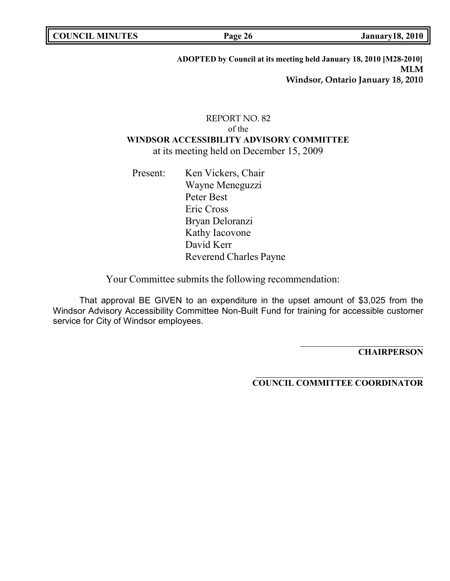**COUNCIL EXAMPLE 12 ISONET 18, 2010** 

# **ADOPTED by Council at its meeting held January 18, 2010 [M28-2010] MLM Windsor, Ontario January 18, 2010**

# REPORT NO. 82 of the **WINDSOR ACCESSIBILITY ADVISORY COMMITTEE** at its meeting held on December 15, 2009

Present: Ken Vickers, Chair Wayne Meneguzzi Peter Best Eric Cross Bryan Deloranzi Kathy Iacovone David Kerr Reverend Charles Payne

Your Committee submits the following recommendation:

That approval BE GIVEN to an expenditure in the upset amount of \$3,025 from the Windsor Advisory Accessibility Committee Non-Built Fund for training for accessible customer service for City of Windsor employees.

**CHAIRPERSON**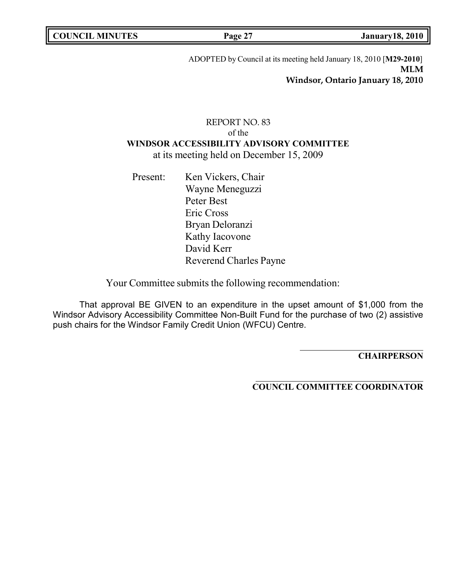**COUNCIL MINUTES Page 27 January18, 2010**

ADOPTED by Council at its meeting held January 18, 2010 [**M29-2010**] **MLM Windsor, Ontario January 18, 2010**

# REPORT NO. 83 of the **WINDSOR ACCESSIBILITY ADVISORY COMMITTEE** at its meeting held on December 15, 2009

Present: Ken Vickers, Chair Wayne Meneguzzi Peter Best Eric Cross Bryan Deloranzi Kathy Iacovone David Kerr Reverend Charles Payne

Your Committee submits the following recommendation:

That approval BE GIVEN to an expenditure in the upset amount of \$1,000 from the Windsor Advisory Accessibility Committee Non-Built Fund for the purchase of two (2) assistive push chairs for the Windsor Family Credit Union (WFCU) Centre.

**CHAIRPERSON**